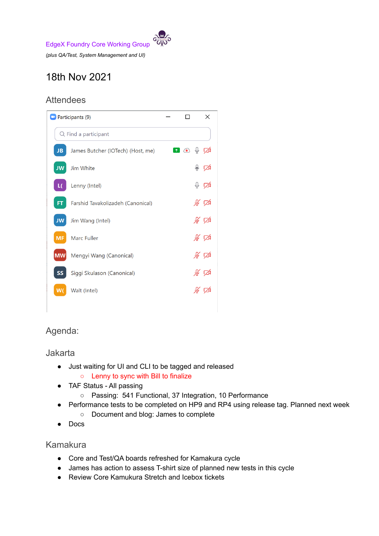

# 18th Nov 2021

# **Attendees**



# Agenda:

#### Jakarta

- Just waiting for UI and CLI to be tagged and released
	- Lenny to sync with Bill to finalize
- TAF Status All passing
	- Passing: 541 Functional, 37 Integration, 10 Performance
- Performance tests to be completed on HP9 and RP4 using release tag. Planned next week ○ Document and blog: James to complete
- Docs

### Kamakura

- Core and Test/QA boards refreshed for Kamakura cycle
- James has action to assess T-shirt size of planned new tests in this cycle
- Review Core Kamukura Stretch and Icebox tickets